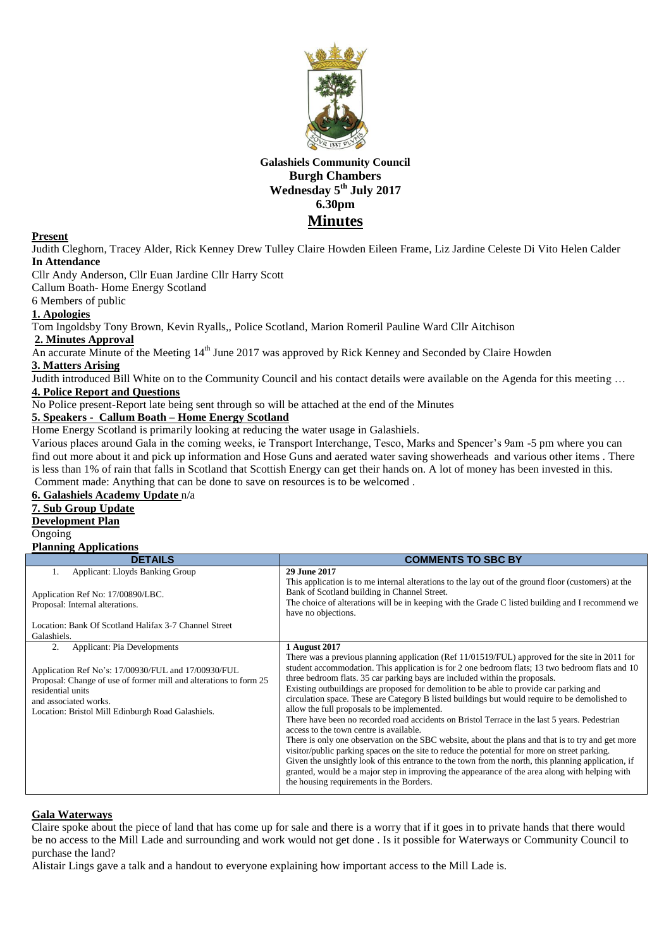

# **Galashiels Community Council Burgh Chambers Wednesday 5 th July 2017 6.30pm Minutes**

### **Present**

Judith Cleghorn, Tracey Alder, Rick Kenney Drew Tulley Claire Howden Eileen Frame, Liz Jardine Celeste Di Vito Helen Calder **In Attendance**

Cllr Andy Anderson, Cllr Euan Jardine Cllr Harry Scott

Callum Boath- Home Energy Scotland

6 Members of public

# **1. Apologies**

Tom Ingoldsby Tony Brown, Kevin Ryalls,, Police Scotland, Marion Romeril Pauline Ward Cllr Aitchison

**2. Minutes Approval**

An accurate Minute of the Meeting 14<sup>th</sup> June 2017 was approved by Rick Kenney and Seconded by Claire Howden

# **3. Matters Arising**

Judith introduced Bill White on to the Community Council and his contact details were available on the Agenda for this meeting … **4. Police Report and Questions**

No Police present-Report late being sent through so will be attached at the end of the Minutes

## **5. Speakers - Callum Boath – Home Energy Scotland**

Home Energy Scotland is primarily looking at reducing the water usage in Galashiels.

Various places around Gala in the coming weeks, ie Transport Interchange, Tesco, Marks and Spencer's 9am -5 pm where you can find out more about it and pick up information and Hose Guns and aerated water saving showerheads and various other items . There is less than 1% of rain that falls in Scotland that Scottish Energy can get their hands on. A lot of money has been invested in this. Comment made: Anything that can be done to save on resources is to be welcomed .

# **6. Galashiels Academy Update** n/a

# **7. Sub Group Update Development Plan**

Ongoing

# **Planning Applications**

| <b>DETAILS</b>                                                                                                                                                                                                                                                          | <b>COMMENTS TO SBC BY</b>                                                                                                                                                                                                                                                                                                                                                                                                                                                                                                                                                                                                                                                                                                                                                                                                                                                                                                                                                                                                                                                                                                                               |
|-------------------------------------------------------------------------------------------------------------------------------------------------------------------------------------------------------------------------------------------------------------------------|---------------------------------------------------------------------------------------------------------------------------------------------------------------------------------------------------------------------------------------------------------------------------------------------------------------------------------------------------------------------------------------------------------------------------------------------------------------------------------------------------------------------------------------------------------------------------------------------------------------------------------------------------------------------------------------------------------------------------------------------------------------------------------------------------------------------------------------------------------------------------------------------------------------------------------------------------------------------------------------------------------------------------------------------------------------------------------------------------------------------------------------------------------|
| <b>Applicant: Lloyds Banking Group</b><br>1.                                                                                                                                                                                                                            | 29 June 2017                                                                                                                                                                                                                                                                                                                                                                                                                                                                                                                                                                                                                                                                                                                                                                                                                                                                                                                                                                                                                                                                                                                                            |
| Application Ref No: 17/00890/LBC.<br>Proposal: Internal alterations.                                                                                                                                                                                                    | This application is to me internal alterations to the lay out of the ground floor (customers) at the<br>Bank of Scotland building in Channel Street.<br>The choice of alterations will be in keeping with the Grade C listed building and I recommend we<br>have no objections.                                                                                                                                                                                                                                                                                                                                                                                                                                                                                                                                                                                                                                                                                                                                                                                                                                                                         |
| Location: Bank Of Scotland Halifax 3-7 Channel Street                                                                                                                                                                                                                   |                                                                                                                                                                                                                                                                                                                                                                                                                                                                                                                                                                                                                                                                                                                                                                                                                                                                                                                                                                                                                                                                                                                                                         |
| Galashiels.                                                                                                                                                                                                                                                             |                                                                                                                                                                                                                                                                                                                                                                                                                                                                                                                                                                                                                                                                                                                                                                                                                                                                                                                                                                                                                                                                                                                                                         |
| <b>Applicant: Pia Developments</b><br>2.<br>Application Ref No's: 17/00930/FUL and 17/00930/FUL<br>Proposal: Change of use of former mill and alterations to form 25<br>residential units<br>and associated works.<br>Location: Bristol Mill Edinburgh Road Galashiels. | 1 August 2017<br>There was a previous planning application (Ref $11/01519/FUL$ ) approved for the site in 2011 for<br>student accommodation. This application is for 2 one bedroom flats; 13 two bedroom flats and 10<br>three bedroom flats. 35 car parking bays are included within the proposals.<br>Existing outbuildings are proposed for demolition to be able to provide car parking and<br>circulation space. These are Category B listed buildings but would require to be demolished to<br>allow the full proposals to be implemented.<br>There have been no recorded road accidents on Bristol Terrace in the last 5 years. Pedestrian<br>access to the town centre is available.<br>There is only one observation on the SBC website, about the plans and that is to try and get more<br>visitor/public parking spaces on the site to reduce the potential for more on street parking.<br>Given the unsightly look of this entrance to the town from the north, this planning application, if<br>granted, would be a major step in improving the appearance of the area along with helping with<br>the housing requirements in the Borders. |

### **Gala Waterways**

Claire spoke about the piece of land that has come up for sale and there is a worry that if it goes in to private hands that there would be no access to the Mill Lade and surrounding and work would not get done . Is it possible for Waterways or Community Council to purchase the land?

Alistair Lings gave a talk and a handout to everyone explaining how important access to the Mill Lade is.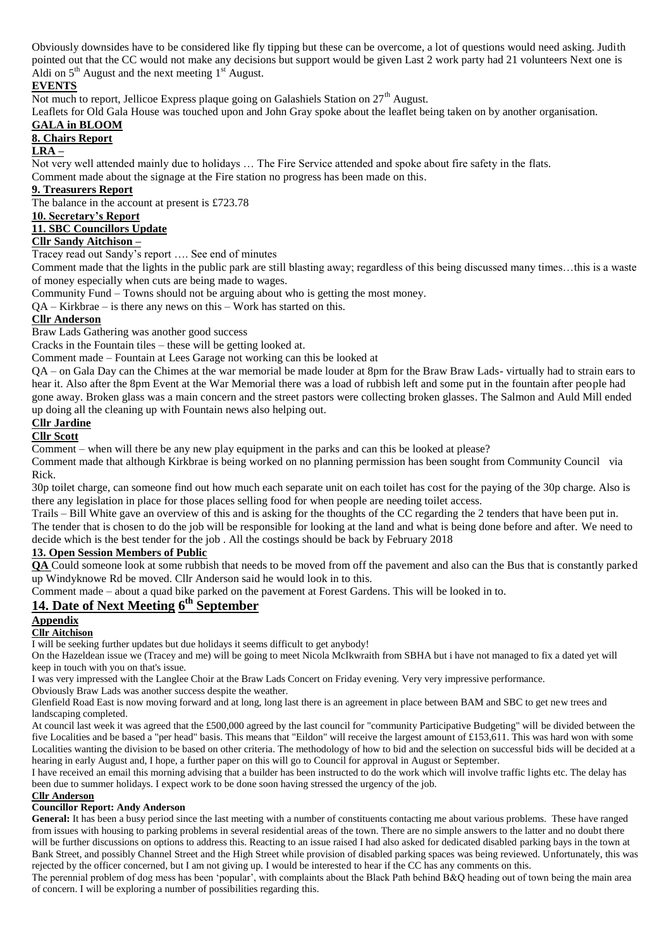Obviously downsides have to be considered like fly tipping but these can be overcome, a lot of questions would need asking. Judith pointed out that the CC would not make any decisions but support would be given Last 2 work party had 21 volunteers Next one is Aldi on  $5<sup>th</sup>$  August and the next meeting  $1<sup>st</sup>$  August.

# **EVENTS**

Not much to report, Jellicoe Express plaque going on Galashiels Station on 27<sup>th</sup> August.

Leaflets for Old Gala House was touched upon and John Gray spoke about the leaflet being taken on by another organisation.

# **GALA in BLOOM**

# **8. Chairs Report**

### **LRA –**

Not very well attended mainly due to holidays … The Fire Service attended and spoke about fire safety in the flats.

Comment made about the signage at the Fire station no progress has been made on this.

# **9. Treasurers Report**

The balance in the account at present is £723.78

## **10. Secretary's Report**

# **11. SBC Councillors Update**

## **Cllr Sandy Aitchison –**

Tracey read out Sandy's report …. See end of minutes

Comment made that the lights in the public park are still blasting away; regardless of this being discussed many times…this is a waste of money especially when cuts are being made to wages.

Community Fund – Towns should not be arguing about who is getting the most money.

QA – Kirkbrae – is there any news on this – Work has started on this.

### **Cllr Anderson**

Braw Lads Gathering was another good success

Cracks in the Fountain tiles – these will be getting looked at.

Comment made – Fountain at Lees Garage not working can this be looked at

QA – on Gala Day can the Chimes at the war memorial be made louder at 8pm for the Braw Braw Lads- virtually had to strain ears to hear it. Also after the 8pm Event at the War Memorial there was a load of rubbish left and some put in the fountain after people had gone away. Broken glass was a main concern and the street pastors were collecting broken glasses. The Salmon and Auld Mill ended up doing all the cleaning up with Fountain news also helping out.

### **Cllr Jardine**

**Cllr Scott**

Comment – when will there be any new play equipment in the parks and can this be looked at please?

Comment made that although Kirkbrae is being worked on no planning permission has been sought from Community Council via Rick.

30p toilet charge, can someone find out how much each separate unit on each toilet has cost for the paying of the 30p charge. Also is there any legislation in place for those places selling food for when people are needing toilet access.

Trails – Bill White gave an overview of this and is asking for the thoughts of the CC regarding the 2 tenders that have been put in. The tender that is chosen to do the job will be responsible for looking at the land and what is being done before and after. We need to decide which is the best tender for the job . All the costings should be back by February 2018

### **13. Open Session Members of Public**

**QA** Could someone look at some rubbish that needs to be moved from off the pavement and also can the Bus that is constantly parked up Windyknowe Rd be moved. Cllr Anderson said he would look in to this.

Comment made – about a quad bike parked on the pavement at Forest Gardens. This will be looked in to.

# **14. Date of Next Meeting 6 th September**

## **Appendix**

### **Cllr Aitchison**

I will be seeking further updates but due holidays it seems difficult to get anybody!

On the Hazeldean issue we (Tracey and me) will be going to meet Nicola McIkwraith from SBHA but i have not managed to fix a dated yet will keep in touch with you on that's issue.

I was very impressed with the Langlee Choir at the Braw Lads Concert on Friday evening. Very very impressive performance.

Obviously Braw Lads was another success despite the weather.

Glenfield Road East is now moving forward and at long, long last there is an agreement in place between BAM and SBC to get new trees and landscaping completed.

At council last week it was agreed that the £500,000 agreed by the last council for "community Participative Budgeting" will be divided between the five Localities and be based a "per head" basis. This means that "Eildon" will receive the largest amount of £153,611. This was hard won with some Localities wanting the division to be based on other criteria. The methodology of how to bid and the selection on successful bids will be decided at a hearing in early August and, I hope, a further paper on this will go to Council for approval in August or September.

I have received an email this morning advising that a builder has been instructed to do the work which will involve traffic lights etc. The delay has been due to summer holidays. I expect work to be done soon having stressed the urgency of the job.

### **Cllr Anderson**

# **Councillor Report: Andy Anderson**

**General:** It has been a busy period since the last meeting with a number of constituents contacting me about various problems. These have ranged from issues with housing to parking problems in several residential areas of the town. There are no simple answers to the latter and no doubt there will be further discussions on options to address this. Reacting to an issue raised I had also asked for dedicated disabled parking bays in the town at Bank Street, and possibly Channel Street and the High Street while provision of disabled parking spaces was being reviewed. Unfortunately, this was rejected by the officer concerned, but I am not giving up. I would be interested to hear if the CC has any comments on this.

The perennial problem of dog mess has been 'popular', with complaints about the Black Path behind B&Q heading out of town being the main area of concern. I will be exploring a number of possibilities regarding this.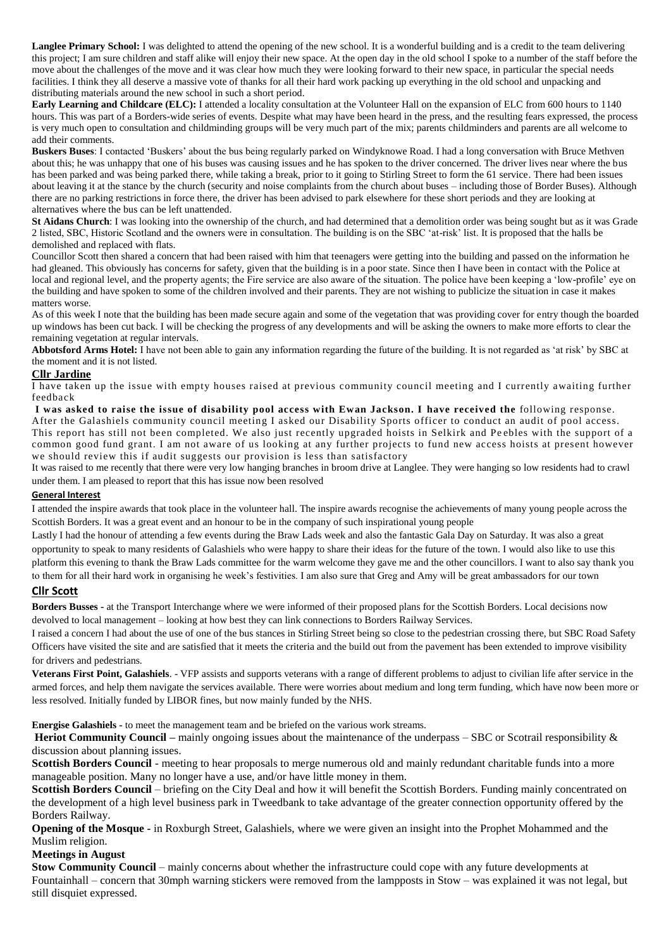**Langlee Primary School:** I was delighted to attend the opening of the new school. It is a wonderful building and is a credit to the team delivering this project; I am sure children and staff alike will enjoy their new space. At the open day in the old school I spoke to a number of the staff before the move about the challenges of the move and it was clear how much they were looking forward to their new space, in particular the special needs facilities. I think they all deserve a massive vote of thanks for all their hard work packing up everything in the old school and unpacking and distributing materials around the new school in such a short period.

**Early Learning and Childcare (ELC):** I attended a locality consultation at the Volunteer Hall on the expansion of ELC from 600 hours to 1140 hours. This was part of a Borders-wide series of events. Despite what may have been heard in the press, and the resulting fears expressed, the process is very much open to consultation and childminding groups will be very much part of the mix; parents childminders and parents are all welcome to add their comments.

**Buskers Buses**: I contacted 'Buskers' about the bus being regularly parked on Windyknowe Road. I had a long conversation with Bruce Methven about this; he was unhappy that one of his buses was causing issues and he has spoken to the driver concerned. The driver lives near where the bus has been parked and was being parked there, while taking a break, prior to it going to Stirling Street to form the 61 service. There had been issues about leaving it at the stance by the church (security and noise complaints from the church about buses – including those of Border Buses). Although there are no parking restrictions in force there, the driver has been advised to park elsewhere for these short periods and they are looking at alternatives where the bus can be left unattended.

**St Aidans Church**: I was looking into the ownership of the church, and had determined that a demolition order was being sought but as it was Grade 2 listed, SBC, Historic Scotland and the owners were in consultation. The building is on the SBC 'at-risk' list. It is proposed that the halls be demolished and replaced with flats.

Councillor Scott then shared a concern that had been raised with him that teenagers were getting into the building and passed on the information he had gleaned. This obviously has concerns for safety, given that the building is in a poor state. Since then I have been in contact with the Police at local and regional level, and the property agents; the Fire service are also aware of the situation. The police have been keeping a 'low-profile' eye on the building and have spoken to some of the children involved and their parents. They are not wishing to publicize the situation in case it makes matters worse.

As of this week I note that the building has been made secure again and some of the vegetation that was providing cover for entry though the boarded up windows has been cut back. I will be checking the progress of any developments and will be asking the owners to make more efforts to clear the remaining vegetation at regular intervals.

Abbotsford Arms Hotel: I have not been able to gain any information regarding the future of the building. It is not regarded as 'at risk' by SBC at the moment and it is not listed.

### **Cllr Jardine**

I have taken up the issue with empty houses raised at previous community council meeting and I currently awaiting further feedback

**I was asked to raise the issue of disability pool access with Ewan Jackson. I have received the** following response. After the Galashiels community council meeting I asked our Disability Sports officer to conduct an audit of pool access. This report has still not been completed. We also just recently upgraded hoists in Selkirk and Pe ebles with the support of a common good fund grant. I am not aware of us looking at any further projects to fund new access hoists at present however we should review this if audit suggests our provision is less than satisfactory

It was raised to me recently that there were very low hanging branches in broom drive at Langlee. They were hanging so low residents had to crawl under them. I am pleased to report that this has issue now been resolved

#### **General Interest**

I attended the inspire awards that took place in the volunteer hall. The inspire awards recognise the achievements of many young people across the Scottish Borders. It was a great event and an honour to be in the company of such inspirational young people

Lastly I had the honour of attending a few events during the Braw Lads week and also the fantastic Gala Day on Saturday. It was also a great opportunity to speak to many residents of Galashiels who were happy to share their ideas for the future of the town. I would also like to use this platform this evening to thank the Braw Lads committee for the warm welcome they gave me and the other councillors. I want to also say thank you to them for all their hard work in organising he week's festivities. I am also sure that Greg and Amy will be great ambassadors for our town

### **Cllr Scott**

**Borders Busses -** at the Transport Interchange where we were informed of their proposed plans for the Scottish Borders. Local decisions now devolved to local management – looking at how best they can link connections to Borders Railway Services.

I raised a concern I had about the use of one of the bus stances in Stirling Street being so close to the pedestrian crossing there, but SBC Road Safety Officers have visited the site and are satisfied that it meets the criteria and the build out from the pavement has been extended to improve visibility for drivers and pedestrians.

**Veterans First Point, Galashiels**. - VFP assists and supports veterans with a range of different problems to adjust to civilian life after service in the armed forces, and help them navigate the services available. There were worries about medium and long term funding, which have now been more or less resolved. Initially funded by LIBOR fines, but now mainly funded by the NHS.

**Energise Galashiels -** to meet the management team and be briefed on the various work streams.

**Heriot Community Council –** mainly ongoing issues about the maintenance of the underpass – SBC or Scotrail responsibility & discussion about planning issues.

**Scottish Borders Council** - meeting to hear proposals to merge numerous old and mainly redundant charitable funds into a more manageable position. Many no longer have a use, and/or have little money in them.

**Scottish Borders Council** – briefing on the City Deal and how it will benefit the Scottish Borders. Funding mainly concentrated on the development of a high level business park in Tweedbank to take advantage of the greater connection opportunity offered by the Borders Railway.

**Opening of the Mosque -** in Roxburgh Street, Galashiels, where we were given an insight into the Prophet Mohammed and the Muslim religion.

### **Meetings in August**

**Stow Community Council** – mainly concerns about whether the infrastructure could cope with any future developments at Fountainhall – concern that 30mph warning stickers were removed from the lampposts in Stow – was explained it was not legal, but still disquiet expressed.